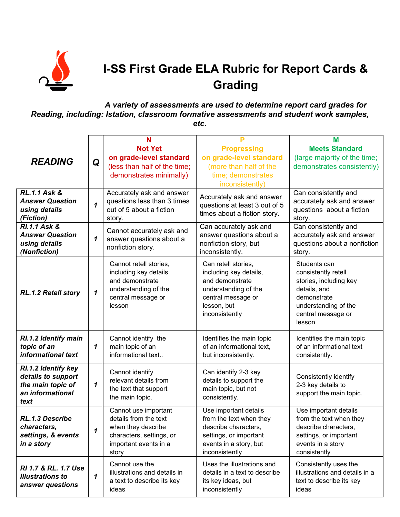

## **I-SS First Grade ELA Rubric for Report Cards & Grading**

## *A variety of assessments are used to determine report card grades for Reading, including: Istation, classroom formative assessments and student work samples, etc.*

|                                                                                            |                            | N                                                                                                                                 |                                                                                                                                                 | M                                                                                                                                                    |
|--------------------------------------------------------------------------------------------|----------------------------|-----------------------------------------------------------------------------------------------------------------------------------|-------------------------------------------------------------------------------------------------------------------------------------------------|------------------------------------------------------------------------------------------------------------------------------------------------------|
|                                                                                            |                            | <b>Not Yet</b>                                                                                                                    | <b>Progressing</b>                                                                                                                              | <b>Meets Standard</b>                                                                                                                                |
| <b>READING</b>                                                                             | Q                          | on grade-level standard                                                                                                           | on grade-level standard                                                                                                                         | (large majority of the time;                                                                                                                         |
|                                                                                            |                            | (less than half of the time;<br>demonstrates minimally)                                                                           | (more than half of the<br>time; demonstrates                                                                                                    | demonstrates consistently)                                                                                                                           |
|                                                                                            |                            |                                                                                                                                   | inconsistently)                                                                                                                                 |                                                                                                                                                      |
| <b>RL.1.1 Ask &amp;</b><br><b>Answer Question</b><br>using details<br>(Fiction)            | $\mathbf{1}$               | Accurately ask and answer<br>questions less than 3 times<br>out of 5 about a fiction<br>story.                                    | Accurately ask and answer<br>questions at least 3 out of 5<br>times about a fiction story.                                                      | Can consistently and<br>accurately ask and answer<br>questions about a fiction<br>story.                                                             |
| <b>RI.1.1 Ask &amp;</b><br><b>Answer Question</b><br>using details<br>(Nonfiction)         | $\boldsymbol{\mathcal{L}}$ | Cannot accurately ask and<br>answer questions about a<br>nonfiction story.                                                        | Can accurately ask and<br>answer questions about a<br>nonfiction story, but<br>inconsistently.                                                  | Can consistently and<br>accurately ask and answer<br>questions about a nonfiction<br>story.                                                          |
| RL.1.2 Retell story                                                                        | 1                          | Cannot retell stories.<br>including key details,<br>and demonstrate<br>understanding of the<br>central message or<br>lesson       | Can retell stories,<br>including key details,<br>and demonstrate<br>understanding of the<br>central message or<br>lesson, but<br>inconsistently | Students can<br>consistently retell<br>stories, including key<br>details, and<br>demonstrate<br>understanding of the<br>central message or<br>lesson |
| RI.1.2 Identify main<br>topic of an<br>informational text                                  | 1                          | Cannot identify the<br>main topic of an<br>informational text                                                                     | Identifies the main topic<br>of an informational text,<br>but inconsistently.                                                                   | Identifies the main topic<br>of an informational text<br>consistently.                                                                               |
| RI.1.2 Identify key<br>details to support<br>the main topic of<br>an informational<br>text | 1                          | Cannot identify<br>relevant details from<br>the text that support<br>the main topic.                                              | Can identify 2-3 key<br>details to support the<br>main topic, but not<br>consistently.                                                          | Consistently identify<br>2-3 key details to<br>support the main topic.                                                                               |
| RL.1.3 Describe<br>characters,<br>settings, & events<br>in a story                         | 1                          | Cannot use important<br>details from the text<br>when they describe<br>characters, settings, or<br>important events in a<br>story | Use important details<br>from the text when they<br>describe characters,<br>settings, or important<br>events in a story, but<br>inconsistently  | Use important details<br>from the text when they<br>describe characters,<br>settings, or important<br>events in a story<br>consistently              |
| RI 1.7 & RL, 1.7 Use<br><b>Illustrations to</b><br>answer questions                        | 1                          | Cannot use the<br>illustrations and details in<br>a text to describe its key<br>ideas                                             | Uses the illustrations and<br>details in a text to describe<br>its key ideas, but<br>inconsistently                                             | Consistently uses the<br>illustrations and details in a<br>text to describe its key<br>ideas                                                         |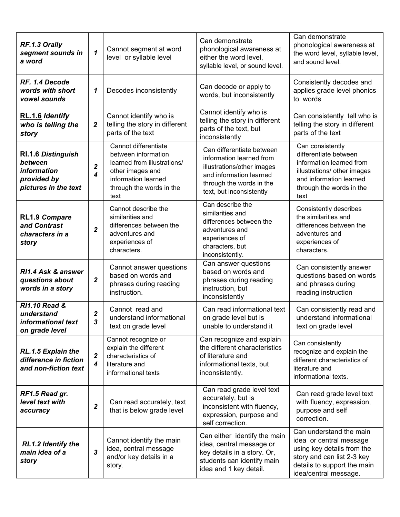| RF.1.3 Orally<br>segment sounds in<br>a word                                               | $\mathbf{1}$          | Cannot segment at word<br>level or syllable level                                                                                                         | Can demonstrate<br>phonological awareness at<br>either the word level,<br>syllable level, or sound level.                                                              | Can demonstrate<br>phonological awareness at<br>the word level, syllable level,<br>and sound level.                                                                    |
|--------------------------------------------------------------------------------------------|-----------------------|-----------------------------------------------------------------------------------------------------------------------------------------------------------|------------------------------------------------------------------------------------------------------------------------------------------------------------------------|------------------------------------------------------------------------------------------------------------------------------------------------------------------------|
| RF. 1.4 Decode<br>words with short<br>vowel sounds                                         | 1                     | Decodes inconsistently                                                                                                                                    | Can decode or apply to<br>words, but inconsistently                                                                                                                    | Consistently decodes and<br>applies grade level phonics<br>to words                                                                                                    |
| RL.1.6 Identify<br>who is telling the<br>story                                             | 2                     | Cannot identify who is<br>telling the story in different<br>parts of the text                                                                             | Cannot identify who is<br>telling the story in different<br>parts of the text, but<br>inconsistently                                                                   | Can consistently tell who is<br>telling the story in different<br>parts of the text                                                                                    |
| <b>RI.1.6 Distinguish</b><br>between<br>information<br>provided by<br>pictures in the text | 2<br>4                | Cannot differentiate<br>between information<br>learned from illustrations/<br>other images and<br>information learned<br>through the words in the<br>text | Can differentiate between<br>information learned from<br>illustrations/other images<br>and information learned<br>through the words in the<br>text, but inconsistently | Can consistently<br>differentiate between<br>information learned from<br>illustrations/ other images<br>and information learned<br>through the words in the<br>text    |
| <b>RL1.9 Compare</b><br>and Contrast<br>characters in a<br>story                           | $\mathbf{2}$          | Cannot describe the<br>similarities and<br>differences between the<br>adventures and<br>experiences of<br>characters.                                     | Can describe the<br>similarities and<br>differences between the<br>adventures and<br>experiences of<br>characters, but<br>inconsistently.                              | Consistently describes<br>the similarities and<br>differences between the<br>adventures and<br>experiences of<br>characters.                                           |
| RI1.4 Ask & answer<br>questions about<br>words in a story                                  | $\mathbf{2}$          | Cannot answer questions<br>based on words and<br>phrases during reading<br>instruction.                                                                   | Can answer questions<br>based on words and<br>phrases during reading<br>instruction, but<br>inconsistently                                                             | Can consistently answer<br>questions based on words<br>and phrases during<br>reading instruction                                                                       |
| <b>RI1.10 Read &amp;</b><br>understand<br>informational text<br>on grade level             | $\boldsymbol{2}$<br>3 | Cannot read and<br>understand informational<br>text on grade level                                                                                        | Can read informational text<br>on grade level but is<br>unable to understand it                                                                                        | Can consistently read and<br>understand informational<br>text on grade level                                                                                           |
| RL.1.5 Explain the<br>difference in fiction<br>and non-fiction text                        | 2<br>$\boldsymbol{4}$ | Cannot recognize or<br>explain the different<br>characteristics of<br>literature and<br>informational texts                                               | Can recognize and explain<br>the different characteristics<br>of literature and<br>informational texts, but<br>inconsistently.                                         | Can consistently<br>recognize and explain the<br>different characteristics of<br>literature and<br>informational texts.                                                |
| RF1.5 Read gr.<br>level text with<br>accuracy                                              | $\mathbf 2$           | Can read accurately, text<br>that is below grade level                                                                                                    | Can read grade level text<br>accurately, but is<br>inconsistent with fluency,<br>expression, purpose and<br>self correction.                                           | Can read grade level text<br>with fluency, expression,<br>purpose and self<br>correction.                                                                              |
| RL1.2 Identify the<br>main idea of a<br>story                                              | 3                     | Cannot identify the main<br>idea, central message<br>and/or key details in a<br>story.                                                                    | Can either identify the main<br>idea, central message or<br>key details in a story. Or,<br>students can identify main<br>idea and 1 key detail.                        | Can understand the main<br>idea or central message<br>using key details from the<br>story and can list 2-3 key<br>details to support the main<br>idea/central message. |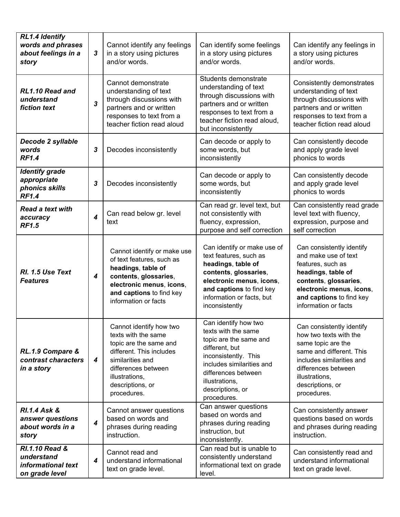| <b>RL1.4 Identify</b><br>words and phrases<br>about feelings in a<br>story      | $\mathbf{3}$            | Cannot identify any feelings<br>in a story using pictures<br>and/or words.                                                                                                                           | Can identify some feelings<br>in a story using pictures<br>and/or words.                                                                                                                                                 | Can identify any feelings in<br>a story using pictures<br>and/or words.                                                                                                                                        |
|---------------------------------------------------------------------------------|-------------------------|------------------------------------------------------------------------------------------------------------------------------------------------------------------------------------------------------|--------------------------------------------------------------------------------------------------------------------------------------------------------------------------------------------------------------------------|----------------------------------------------------------------------------------------------------------------------------------------------------------------------------------------------------------------|
| RL1.10 Read and<br>understand<br>fiction text                                   | $\mathbf{3}$            | Cannot demonstrate<br>understanding of text<br>through discussions with<br>partners and or written<br>responses to text from a<br>teacher fiction read aloud                                         | Students demonstrate<br>understanding of text<br>through discussions with<br>partners and or written<br>responses to text from a<br>teacher fiction read aloud,<br>but inconsistently                                    | Consistently demonstrates<br>understanding of text<br>through discussions with<br>partners and or written<br>responses to text from a<br>teacher fiction read aloud                                            |
| Decode 2 syllable<br>words<br><b>RF1.4</b>                                      | $\mathbf{3}$            | Decodes inconsistently                                                                                                                                                                               | Can decode or apply to<br>some words, but<br>inconsistently                                                                                                                                                              | Can consistently decode<br>and apply grade level<br>phonics to words                                                                                                                                           |
| <b>Identify grade</b><br>appropriate<br>phonics skills<br><b>RF1.4</b>          | 3                       | Decodes inconsistently                                                                                                                                                                               | Can decode or apply to<br>some words, but<br>inconsistently                                                                                                                                                              | Can consistently decode<br>and apply grade level<br>phonics to words                                                                                                                                           |
| <b>Read a text with</b><br>accuracy<br><b>RF1.5</b>                             | $\overline{\mathbf{4}}$ | Can read below gr. level<br>text                                                                                                                                                                     | Can read gr. level text, but<br>not consistently with<br>fluency, expression,<br>purpose and self correction                                                                                                             | Can consistently read grade<br>level text with fluency,<br>expression, purpose and<br>self correction                                                                                                          |
| RI. 1.5 Use Text<br><b>Features</b>                                             | $\boldsymbol{4}$        | Cannot identify or make use<br>of text features, such as<br>headings, table of<br>contents, glossaries,<br>electronic menus, icons,<br>and captions to find key<br>information or facts              | Can identify or make use of<br>text features, such as<br>headings, table of<br>contents, glossaries,<br>electronic menus, icons,<br>and captions to find key<br>information or facts, but<br>inconsistently              | Can consistently identify<br>and make use of text<br>features, such as<br>headings, table of<br>contents, glossaries,<br>electronic menus, icons,<br>and captions to find key<br>information or facts          |
| RL.1.9 Compare &<br>contrast characters<br>in a story                           | $\overline{\mathbf{4}}$ | Cannot identify how two<br>texts with the same<br>topic are the same and<br>different. This includes<br>similarities and<br>differences between<br>illustrations,<br>descriptions, or<br>procedures. | Can identify how two<br>texts with the same<br>topic are the same and<br>different, but<br>inconsistently. This<br>includes similarities and<br>differences between<br>illustrations,<br>descriptions, or<br>procedures. | Can consistently identify<br>how two texts with the<br>same topic are the<br>same and different. This<br>includes similarities and<br>differences between<br>illustrations,<br>descriptions, or<br>procedures. |
| <b>RI.1.4 Ask &amp;</b><br>answer questions<br>about words in a<br>story        | $\overline{\mathbf{4}}$ | Cannot answer questions<br>based on words and<br>phrases during reading<br>instruction.                                                                                                              | Can answer questions<br>based on words and<br>phrases during reading<br>instruction, but<br>inconsistently.                                                                                                              | Can consistently answer<br>questions based on words<br>and phrases during reading<br>instruction.                                                                                                              |
| <b>RI.1.10 Read &amp;</b><br>understand<br>informational text<br>on grade level | 4                       | Cannot read and<br>understand informational<br>text on grade level.                                                                                                                                  | Can read but is unable to<br>consistently understand<br>informational text on grade<br>level.                                                                                                                            | Can consistently read and<br>understand informational<br>text on grade level.                                                                                                                                  |